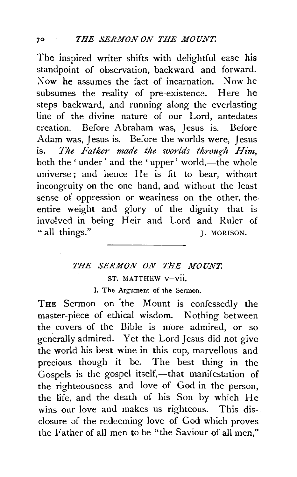The inspired writer shifts with delightful ease his standpoint of observation, backward and forward. Now he assumes the fact of incarnation. Now he subsumes the reality of pre-existence. Here he steps backward, and running along the everlasting line of the divine nature of our Lord, antedates creation. Before Abraham was, Jesus is. Before Adam was, Jesus is. Before the worlds were, Jesus is. *The Father made the worlds through Him,*  both the 'under' and the 'upper' world,—the whole universe; and hence He is fit to bear, without incongruity on the one hand, and without the least sense of oppression or weariness on the other, the. entire weight and glory of the dignity that is involved in being Heir and Lord and Ruler of " all things." J. MORISON.

## THE SERMON ON THE MOUNT. ST. MATTHEW V-VII.

I. The Argument of the Sermon.

THE Sermon on the Mount is confessedly the master-piece of ethical wisdom. Nothing between the covers of the Bible is more admired, or so generally admired. Yet the Lord Jesus did not give the world his best wine in this cup, marvellous and precious though it be. The best thing in the Gospels is the gospel itself,—that manifestation of the righteousness and love of God in the person, the life, and the death of his Son by which He wins our love and makes us righteous. This disclosure of the redeeming love of God which proves the Father of all men to be "the Saviour of all men,"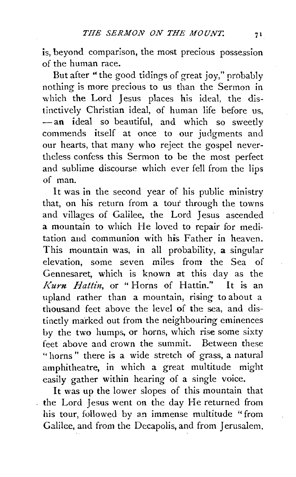is, beyond comparison, the most precious possession of the human race.

But after "the good tidings of great joy," probably nothing is more precious to us than the Sermon in which the Lord Jesus places his ideal, the distinctively Christian ideal, of human life before us, -an ideal so beautiful, and which so sweetly commends itself at once to our judgments and our hearts, that many who reject the gospel nevertheless confess this Sermon to be the most perfect and sublime discourse which ever fell from the lips of man.

It was in the second year of his public ministry that, on his return from a tour through the towns and villages of Galilee, the Lord Jesus ascended a mountain to which He loved to repair fot meditation aud communion with his Father in heaven. This mountain was, in all probability, a singular elevation, some seven miles from the Sea of Gennesaret, which is known at this day as the */(urn Battin,* or "Horns of Hattin." It is an upland rather than a mountain, rising to about a thousand feet above the level of the sea, and distinctly marked out from the neighbouring eminences by the two humps, or horns, which rise some sixty feet above and crown the summit. Between these " horns" there is a wide stretch of grass, a natural amphitheatre, in which a great multitude might easily gather within hearing of a single voice.

It was up the lower slopes of this mountain that the Lord Jesus went on the day He returned from his tour, followed by an immense multitude "from Galilee, and from the Decapolis, and from Jerusalem,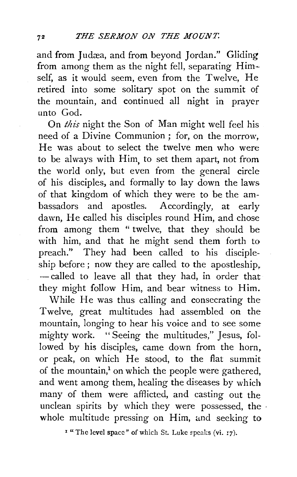and from Judæa, and from beyond Jordan." Gliding from among them as the night fell, separating Himself, as it would seem, even from the Twelve, He retired into some solitary spot on the summit of the mountain, and continued all night in prayer unto God.

On *this* night the Son of Man might well feel his need of a Divine Communion ; for, on the morrow, He was about to select the twelve men who were to be always with Him, to set them apart, not from the world only, but even from the general circle of his disciples, and formally to lay down the laws of that kingdom of which they were to be the ambassadors and apostles. Accordingly, at early dawn, He called his disciples round Him, and chose from among them " twelve, that they should be with him, and that he might send them forth to preach." They had been called to his discipleship before ; now they are called to the apostleship, - called to leave all that they had, in order that they might follow Him, and bear witness to Him.

While He was thus calling and consecrating the Twelve, great multitudes had assembled on the mountain, longing to hear his voice and to see some mighty work. "Seeing the multitudes," Jesus, followed by his disciples, came down from the horn, or peak, on which He stood, to the flat summit of the mountain,<sup>1</sup> on which the people were gathered, and went among them, healing the diseases by which many of them were afflicted, and casting out the unclean spirits by which they were possessed, the . whole multitude pressing on Him, and seeking to

 $1$  "The level space" of which St. Luke speaks (vi. 17).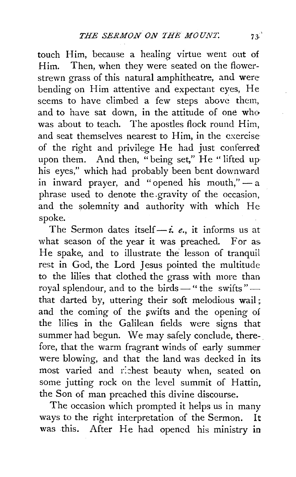touch Him, because a healing virtue went out of Him. Then, when they were seated on the flowerstrewn grass of this natural amphitheatre, and were bending on Him attentive and expectant eyes, He seems to have climbed a few steps above them, and to have sat down, in the attitude of one who was about to teach. The apostles flock round Him, and seat themselves nearest to Him, in the exercise of the right and privilege He had just conferred upon them. And then, "being set," He "lifted up his eyes," which had probably been bent downward in inward prayer, and "opened his mouth," $-$ a phrase used to denote the .gravity of the occasion, and the solemnity and authority with which He spoke.

The Sermon dates itself $-i$ , *e.*, it informs us at what season of the year it was preached. For as. He spake, and to illustrate the lesson of tranquil rest in God, the Lord Jesus pointed the multitude to the lilies that clothed the grass with more than royal splendour, and to the birds  $-$  " the swifts " that darted by, uttering their soft melodious wail ; and the coming of the swifts and the opening of the lilies in the Galilean fields were signs that summer had begun. We may safely conclude, therefore, that the warm fragrant winds of early summer were blowing, and that the land was decked in its most varied and richest beauty when, seated on some jutting rock on the level summit of Hattin, the Son of man preached this divine discourse.

The occasion which prompted it helps us in many ways to the right interpretation of the Sermon. It was this. After He had opened his ministry in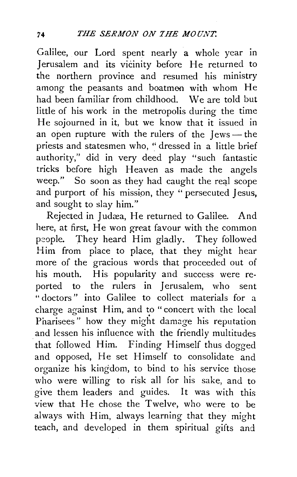Galilee, our Lord spent nearly a whole year in Jerusalem and its vicinity before He returned to the northern province and resumed his ministry among the peasants and boatmen with whom He had been familiar from childhood. We are told but little of his work in the metropolis during the time He sojourned in it, but we know that it issued in an open rupture with the rulers of the  $I$ ews - the priests and statesmen who, "dressed in a little brief authority," did in very deed play "such fantastic tricks before high Heaven as made the angels weep." So soon as they had caught the real scope and purport of his mission, they "persecuted Jesus, and sought to slay him."

Rejected in Judæa, He returned to Galilee. And here, at first, He won great favour with the common people. They heard Him gladly. They followed Him from place to place, that they might hear more of the gracious words that proceeded out of his mouth. His popularity and success were reported to the rulers in Jerusalem, who sent "doctors" into Galilee to collect materials for a charge against Him, and to "concert with the local Pharisees" how they might damage his reputation and lessen his influence with the friendly multitudes that followed Him. Finding Himself thus dogged and opposed, He set Himself to consolidate and organize his kingdom, to bind to his service those who were willing to risk all for his sake, and to give them leaders and guides. It was with this view that He chose the Twelve, who were to be always with Him, always learning that they might teach, and developed in them spiritual gifts and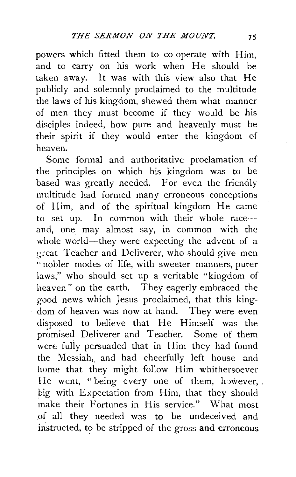powers which fitted them to co-operate with Him, and to carry on his work when He should be taken away. It was with this view also that He publicly and solemnly proclaimed to the multitude the laws of his kingdom, shewed them what manner of men they must become if they would be his disciples indeed, how pure and heavenly must be their spirit if they would enter the kingdom of heaven.

Some formal and authoritative proclamation of the principles on which his kingdom was to be based was greatly needed. For even the friendly multitude had formed many erroneous conceptions of Him, and of the spiritual kingdom He came to set up. In common with their whole raceand, one may almost say, in common with the whole world-they were expecting the advent of a great Teacher and Deliverer, who should give men " nobler modes of life, with sweeter manners, purer laws," who should set up a veritable "kingdom of heaven" on the earth. They eagerly embraced the good news which Jesus proclaimed, that this kingdom of heaven was now at hand. They were even disposed to believe that He Himself was the promised Deliverer and Teacher. Some of them were fully persuaded that in Him they had found the Messiah,, and had cheerfully left house and home that they might follow Him whithersoever He went, " being every one of them, however, . big with Expectation from Him, that they should make their Fortunes in His service." What most of all they needed was to be undeceived and instructed, to be stripped of the gross and erroneous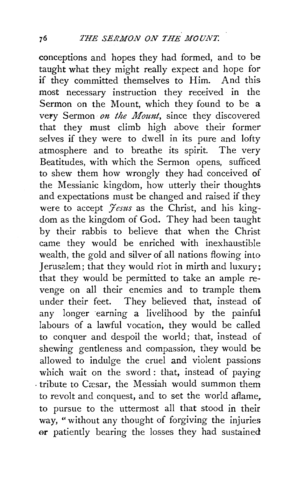conceptions and hopes they had formed, and to be taught what they might really expect and hope for if they committed themselves to Him. And this most necessary instruction they received in the Sermon on the Mount, which they found to be a very Sermon on the Mount, since they discovered that they must climb high above their former selves if they were to dwell in its pure and lofty atmosphere and to breathe its spirit. The very Beatitudes, with which the Sermon opens, sufficed to shew them how wrongly they had conceived of the Messianic kingdom, how utterly their thoughts and expectations must be changed and raised if they were to accept *'Yesus* as the Christ, and his kingdom as the kingdom of God. They had been taught by their rabbis to believe that when the Christ came they would be enriched with inexhaustible wealth, the gold and silver of all nations flowing into Jerusalem; that they would riot in mirth and luxury: that they would be permitted to take an ample revenge on all their enemies and to trample them under their feet. They believed that, instead of any longer earning a livelihood by the painful labours of a lawful vocation, they would be called to conquer and despoil the world; that, instead of shewing gentleness and compassion, they would be allowed to indulge the cruel and violent passions which wait on the sword: that, instead of paying . tribute to Cæsar, the Messiah would summon them to revolt and conquest, and to set the world aflame. to pursue to the uttermost all that stood in their way, "without any thought of forgiving the injuries or patiently bearing the losses they had sustained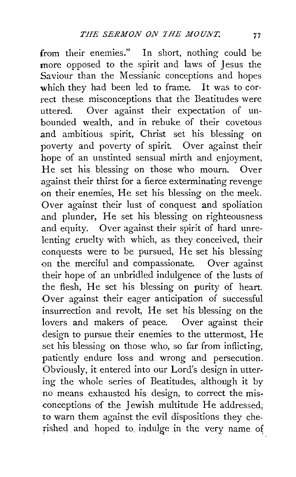from their enemies." In short, nothing could be more opposed to the spirit and laws of Jesus the Saviour than the Messianic conceptions and hopes which they had been led to frame. It was to correct these misconceptions that the Beatitudes were uttered. Over against their expectation of unbounded wealth, and in rebuke of their covetous and ambitious spirit, Christ set his blessing on poverty and poverty of spirit. Over against their hope of an unstinted sensual mirth and enjoyment, He set his blessing on those who mourn. Over against their thirst for a fierce exterminating revenge on their enemies, He set his blessing on the meek. Over against their lust of conquest and spoliation and plunder, He set his blessing on righteousness and equity. Over against their spirit of hard unrelenting cruelty with which, as they conceived, their conquests were to be pursued, He set his blessing on the merciful and compassionate. Over against their hope of an unbridled indulgence of the lusts of the flesh, He set his blessing on purity of heart. Over against their eager anticipation of successful insurrection and revolt, He set his blessing on the lovers and makers of peace. Over against their design to pursue their enemies to the uttermost. He set his blessing on those who, so far from inflicting, patiently endure loss and wrong and persecution. Obviously, it entered into our Lord's design in utter~ ing the whole series of Beatitudes, although it by no means exhausted his design, to correct the misconceptions of the Jewish multitude He addressed, to warn them against the evil dispositions they cherished and hoped to indulge in the very name of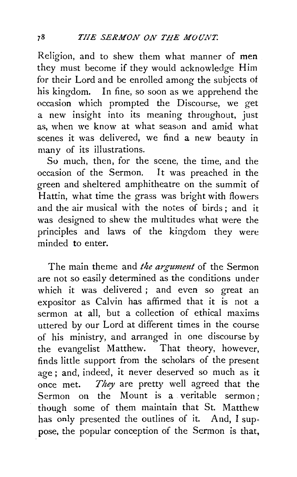Religion, and to shew them what manner of men they must become if they would acknowledge Him for their Lord and be enrolled among the subjects of his kingdom. In fine, so soon as we apprehend the occasion which prompted the Discourse, we get a new insight into its meaning throughout, just as, when we know at what season and amid what scenes it was delivered, we find a new beauty in many of its illustrations.

So much, then, for the scene, the time, and the occasion of the Sermon. It was preached in the green and sheltered amphitheatre on the summit of Hattin, what time the grass was bright with flowers and the air musical with the notes of birds; and it was designed to shew the multitudes what were the principles and laws of the kingdom they were minded to enter.

The main theme and *the argument* of the Sermon are not so easily determined as the conditions under which it was delivered ; and even so great an expositor as Calvin has affirmed that it is not a sermon at all, but a collection of ethical maxims uttered by our Lord at different times in the course of his ministry, and arranged in one discourse by the evangelist Matthew. That theory, however, finds little support from the scholars of the present age ; and, indeed, it never deserved so much as it once met. *They* are pretty well agreed that the Sermon on the Mount is a veritable sermon; though some of them maintain that St. Matthew has only presented the outlines of it. And, I suppose, the popular conception of the Sermon is that,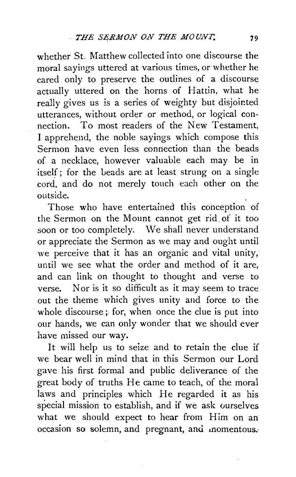whether St. Matthew collected into one discourse the moral sayings uttered at various times, or whether he cared only to preserve the outlines of a discourse actually uttered on the horns of Hattin, what he really gives us is a series of weighty but disjointed utterances, without order or method, or logical connection. To most readers of the New Testament, I apprehend, the noble sayings which compose this Sermon have even less connection than the beads of a necklace, however valuable each may be in itself; for the beads are at least strung on a single cord, and do not merely touch each other on the outside.

Those who have entertained this conception of the Sermon on the Mount cannot get rid. of it too soon or too completely. We shall never understand or appreciate the Sermon as we may and ought until we perceive that it has an organic and vital unity, until we see what the order and method of it are, and can link on thought to thought and verse to verse. Nor is it so difficult as it may seem to trace out the theme which gives unity and force to the whole discourse; for, when once the clue is put into our hands, we can only wonder that we should ever have missed our way.

It will help us to seize and to retain the clue if we bear well in mind that in this Sermon our Lord gave his first formal and public deliverance of the great body of truths He came to teach, of the moral laws and principles which He regarded it as his special mission to establish, and if we ask ourselves what we should expect to hear from Him on an occasion so solemn, and pregnant, and momentous.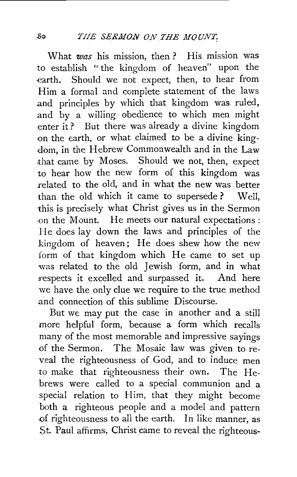What *was* his mission, then? His mission was to establish "the kingdom of heaven" upon the earth. Should we not expect, then, to hear from Him a formal and complete statement of the laws and principles by which that kingdom was ruled, and by a willing obedience to which men might enter it? But there was already a divine kingdom on the earth, or what claimed to be a divine king-.dam, in the Hebrew Commonwealth and in the Law that came by Moses. Should we not, then, expect to hear how the new form of this kingdom was related to the old, and in what the new was better than the old which it came to supersede ? Well, this is precisely what Christ gives us in the Sermon .on the Mount. He *meets* our natural expectations : He does lay down the laws and principles of the kingdom of heaven; He does shew how the new form of that kingdom which He came to set up was related to the old Jewish form, and in what respects it excelled and surpassed it. And here we have the only clue we require to the true method and connection of this sublime Discourse.

But we may put the case in another and a still more helpful form, because a form which recalls many of the most memorable and impressive sayings of the Sermon. The Mosaic law was given to reveal the righteousness of God, and to induce men to make that righteousness their own. The Hebrews were called to a special communion and a special relation to Him, that they might become both a righteous people and a model and pattern .of righteousness to all the earth. In like manner, as St. Paul affirms, Christ came to reveal the righteous-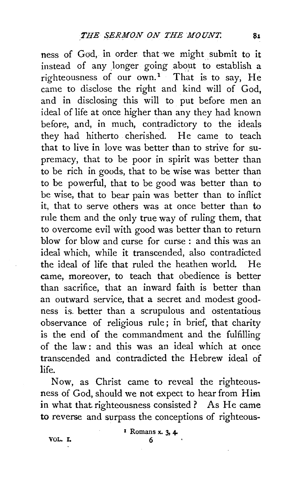ness of God, in order that we might submit to it instead of any longer going about to establish a righteousness of our  $own<sup>1</sup>$ . That is to say, He came to disclose the right and kind will of God, and in disclosing this will to put before men an ideal of life at once higher than any they had known before, and, in much, contradictory to the ideals they had hitherto cherished. He came to teach that to live in love was better than to strive for supremacy, that to be poor in spirit was better than to be rich in goods, that to be wise was better than to be powerful, that to be good was better than to be wise, that to bear pain was better than to inflict it, that to serve others was at once better than to rule them and the only true way of ruling them, that to overcome evil with good was better than to return blow for blow and curse for curse : and this was an ideal which, while it transcended, also contradicted the ideal of life that ruled the heathen world. He came, moreover, to teach that obedience is better than sacrifice, that an inward faith is better than an outward service, that a secret and modest goodness is. better than a scrupulous and ostentatious observance of religious rule; in brief, that charity is the end of the commandment and the fulfilling of the law : and this was an ideal which at once transcended and contradicted the Hebrew ideal of life.

Now, as Christ came to reveal the righteousness of God, should we not expect to hear from Him in what that righteousness consisted? As He came to reverse and surpass the conceptions of righteous-

VOL. r. 6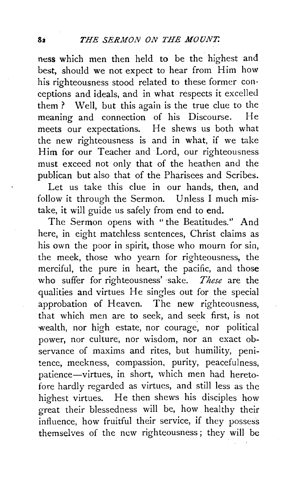ness which men then held to be the highest and best, should we not expect to hear from Him how his righteousness stood related to these former conceptions and ideals, and in what respects it excelled them ? Well, but this again is the true clue to the meaning and connection of his Discourse. He meets our expectations. He shews us both what the new righteousness is and in what, if we take Him for our Teacher and Lord, our righteousness must exceed not only that of the heathen and the publican but also that of the Pharisees and Scribes.

Let us take this clue in our hands, then, and follow it through the Sermon. Unless I much mistake, it will guide us safely from end to end.

The Sermon opens with "the Beatitudes." And here, in eight matchless sentences, Christ claims as his own the poor in spirit, those who mourn for sin, the meek, those who yearn for righteousness, the merciful, the pure in heart, the pacific, and those who suffer for righteousness' -sake. *These* are the qualities and virtues He singles out for the special approbation of Heaven. The new righteousness, that which men are to seek, and seek first, is not wealth, nor high estate, nor courage, nor political power, nor culture, nor wisdom, nor an exact observance of maxims and rites, but humility, penitence, meekness, compassion, purity, peacefulness, patience-virtues, in short, which men had heretofore hardly regarded as virtues, and still less as the highest virtues. He then shews his disciples how great their blessedness will be, how healthy their influence, how fruitful their service, if they possess themselves of the new righteousness; they will be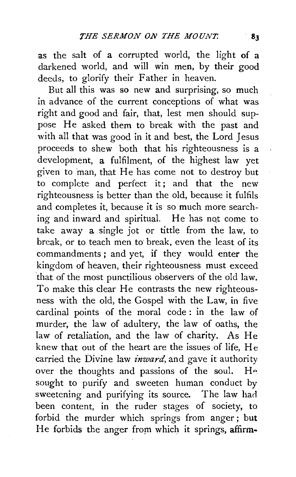as the salt of a corrupted world, the light of a darkened world, and will win men, by their good deeds, to glorify their Father in heaven.

But all this was so new and surprising, so much in advance of the current conceptions of what was right and good and fair, that, lest men should suppose He asked them to break with the past and with all that was good in it and best, the Lord Jesus proceeds to shew both that his righteousness is a development, a fulfilment, of the highest law yet given to man, that He has come not to destroy but to complete and perfect it; and that the new righteousness is better than the old, because it fulfils and completes it, because it is so much more searching and inward and spiritual. He has not come to take away a single jot or tittle from the law, to break, or to teach men to break, even the least of its commandments ; and yet, if they would enter the kingdom of heaven, their righteousness must exceed that of the most punctilious observers of the old law. To make this clear He contrasts the new righteousness with the old, the Gospel with the Law, in five cardinal points of the moral code : in the law of murder, the law of adultery, the law of oaths, the law of retaliation, and the law of charity. As He knew that out of the heart are the issues of life, He carried the Divine law *inward*, and gave it authority over the thoughts and passions of the soul. He sought to purify and sweeten human conduct by sweetening and purifying its source. The law harl been content, in the ruder stages of society, to forbid the murder which springs from anger ; but He forbids the anger from which it springs, affirm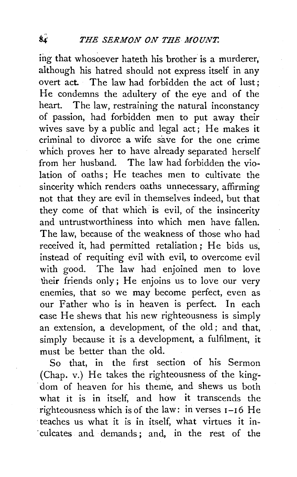ing that whosoever hateth his brother is a murderer, although his hatred should not express itself in any overt act. The law had forbidden the act of lust; He condemns the adultery of the eye and of the heart. The law, restraining the natural inconstancy of passion, had forbidden men to put away their wives save by a public and legal act; He makes it criminal to divorce a wife save for the one crime which proves her to have already separated herself from her husband. The law had forbidden the violation of oaths; He teaches men to cultivate the sincerity which renders oaths unnecessary, affirming not that they are evil in themselves indeed, but that they come of that which is evil, of the insincerity and untrustworthiness into which men have fallen. The law, because of the weakness of those who had received it, had permitted retaliation; He bids us, instead of requiting evil with evil, to overcome evil with good. The law had enjoined men to love their friends only; He enjoins us to love our very enemies, that so we may become perfect, even as our Father who is in heaven is perfect. In each case He shews that his new righteousness is simply an extension, a development, of the old ; and that, simply because it is a development, a fulfilment, it must be better than the old.

So that, in the first section of his Sermon (Chap. v.) He takes the righteousness of the king- . dom of heaven for his theme, and shews us both what it is in itself, and how it transcends the righteousness which is of the law: in verses 1-16 He ·teaches us what it is in itself, what virtues it in- . culcates and demands ; and, in the rest of the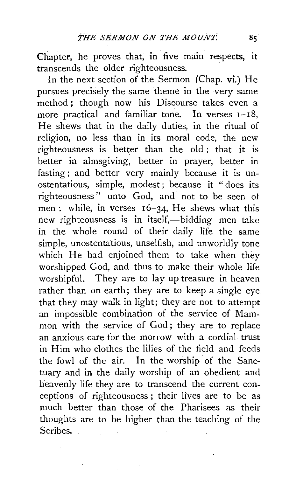Chapter, he proves that, in five main respects, it transcends the older righteousness.

In the next section of the Sermon (Chap. vi.) He pursues precisely the same theme in the very same method ; though now his Discourse takes even a more practical and familiar tone. In verses 1-18, He shews that in the daily duties, in the ritual of religion, no less than in its moral code, the new righteousness is better than the old: that it is better in almsgiving, better in prayer, better in fasting; and better very mainly because it is unostentatious, simple, modest; because it " does its righteousness" unto God, and not to be seen of men: while, in verses  $16-34$ , He shews what this new righteousness is in itself,-bidding men take in the whole round of their daily life the same simple, unostentatious, unselfish, and unworldly tone which He had enjoined them to take when they worshipped God, and thus to make their whole life worshipful. They are to lay up treasure in heaven rather than on earth; they are to keep a single eye that they may walk in light; they are not to attempt an impossible combination of the service of Mammon with the service of God; they are to replace an anxious care for the morrow with a cordial trust in Him who clothes the lilies of the field and feeds the fowl of the air. In the worship of the Sanctuary and in the daily worship of an obedient and heavenly life they are to transcend the current conceptions of righteousness ; their Hves are to be as much better than those of the Pharisees as their thoughts are to be higher than the teaching of the Scribes.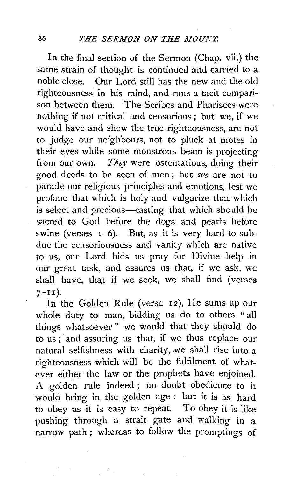In the final section of the Sermon (Chap. vii.) the same strain of thought is continued and carried to a noble close. Our Lord still has the new and the old righteousness in his mind, and runs a tacit comparison between them. The Scribes and Pharisees were nothing if not critical and censorious ; but we, if we would have and shew the true righteousness, are not to judge our neighbours, not to pluck at motes in their eyes while some monstrous beam is projecting from our own. *They* were ostentatious, doing their good deeds to be seen of men; but *we* are not to parade our religious principles and emotions, lest we profane that which is holy and vulgarize that which is select and precious—casting that which should be sacred to God before the dogs and pearls before swine (verses  $I=6$ ). But, as it is very hard to subdue the censoriousness and vanity which are native to us, our Lord bids us pray for Divine help in our great task, and assures us that, if we ask, we shall have, that if we seek, we shall find (verses  $7-11$ ).

In the Golden Rule (verse 12), He sums up our whole duty to man, bidding us do to others "all things whatsoever " we would that they should do to us ; 'and assuring us that, if we thus replace our natural selfishness with charity, we shall rise into a righteousness which will be the fulfilment of whatever either the law or the prophets have enjoined. A golden rule indeed ; no doubt obedience to it would bring in the golden age : but it is as hard to obey as it is easy to repeat. To obey it is like pushing through a strait gate and walking in a narrow path; whereas to follow the promptings of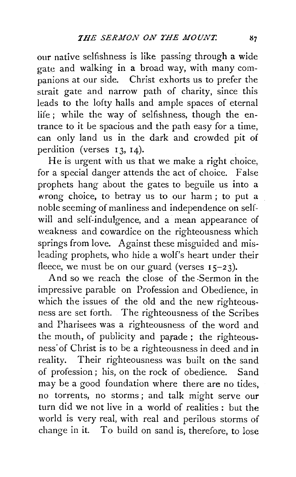our native selfishness is like passing through a wide gate and walking in a broad way, with many com- $\frac{1}{2}$  panions at our side. Christ exhorts us to prefer the strait gate and narrow path of charity, since this leads to the lofty halls and ample spaces of eternal life ; while the way of selfishness, though the entrance to it be spacious and the path easy for a time, can only land us in the dark and crowded pit of perdition (verses 13, 14).

He is urgent with us that we make a right choice, for a special danger attends the act of choice. False prophets hang about the gates to beguile us into a wrong choice, to betray us to our harm; to put a noble seeming of manliness and independence on selfwill and self-indulgence, and a mean appearance of weakness and cowardice on the righteousness which springs from love. Against these misguided and misleading prophets, who hide a wolf's heart under their fleece, we must be on our guard (verses  $15-23$ ).

And so we reach the close of the -Sermon in the impressive parable on Profession and Obedience, in which the issues of the old and the new righteousness are set forth. The righteousness of the Scribes and Pharisees was a righteousness of the word and the mouth, of publicity and parade ; the righteousness· of Christ is to be a righteousness in deed and in reality. Their righteousness was built on the sand of profession ; his, on the rock of obedience. Sand may be a good foundation where there are no tides, no torrents, no storms ; and talk might serve our turn did we not live in a world of realities : but the world is very real, with real and perilous storms of change in it. To build on sand is, therefore, to lose